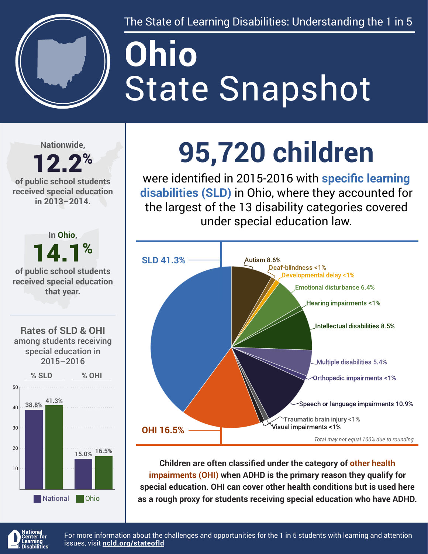

The State of Learning Disabilities: Understanding the 1 in 5

# State Snapshot **Ohio**

**Nationwide,**

#### 12.2% **of public school students received special education in 2013–2014.**



## **95,720 children**

were identified in 2015-2016 with **specific learning disabilities (SLD)** in Ohio, where they accounted for the largest of the 13 disability categories covered under special education law.



**Children are often classified under the category of other health impairments (OHI) when ADHD is the primary reason they qualify for special education. OHI can cover other health conditions but is used here as a rough proxy for students receiving special education who have ADHD.**



For more information about the challenges and opportunities for the 1 in 5 students with learning and attention issues, visit **[ncld.org/stateofld](http://ncld.org/stateofld)**